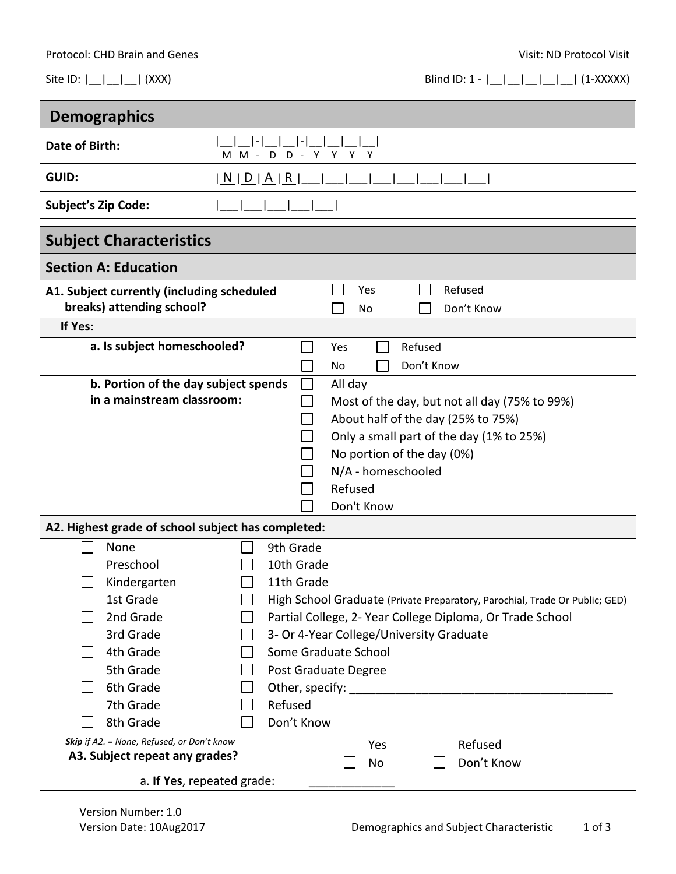Protocol: CHD Brain and Genes **Visit: ND Protocol Visit: ND Protocol Visit**: ND Protocol Visit

Site ID:  $|\_|\_|\_|\_$  (XXX) Blind ID: 1 -  $|\_|\_|\_|\_|\_$  (1-XXXXX)

| <b>Demographics</b>                                                                                                                                                                                         |                                                                                                                                                                                                                                                              |  |  |
|-------------------------------------------------------------------------------------------------------------------------------------------------------------------------------------------------------------|--------------------------------------------------------------------------------------------------------------------------------------------------------------------------------------------------------------------------------------------------------------|--|--|
| Date of Birth:<br>D<br>$D -$<br>$M -$<br>м                                                                                                                                                                  | Υ<br>Υ<br>Y                                                                                                                                                                                                                                                  |  |  |
| <b>GUID:</b><br><u>  N   D   A   R  </u>                                                                                                                                                                    |                                                                                                                                                                                                                                                              |  |  |
| <b>Subject's Zip Code:</b>                                                                                                                                                                                  |                                                                                                                                                                                                                                                              |  |  |
| <b>Subject Characteristics</b>                                                                                                                                                                              |                                                                                                                                                                                                                                                              |  |  |
| <b>Section A: Education</b>                                                                                                                                                                                 |                                                                                                                                                                                                                                                              |  |  |
| A1. Subject currently (including scheduled<br>breaks) attending school?                                                                                                                                     | Refused<br>Yes<br>Don't Know<br>No.                                                                                                                                                                                                                          |  |  |
| If Yes:                                                                                                                                                                                                     |                                                                                                                                                                                                                                                              |  |  |
| a. Is subject homeschooled?                                                                                                                                                                                 | Refused<br>Yes<br>Don't Know<br>No                                                                                                                                                                                                                           |  |  |
| b. Portion of the day subject spends<br>in a mainstream classroom:                                                                                                                                          | All day<br>Most of the day, but not all day (75% to 99%)<br>About half of the day (25% to 75%)<br>Only a small part of the day (1% to 25%)<br>No portion of the day (0%)<br>N/A - homeschooled<br>Refused<br>Don't Know                                      |  |  |
| A2. Highest grade of school subject has completed:                                                                                                                                                          |                                                                                                                                                                                                                                                              |  |  |
| None<br>9th Grade<br>10th Grade<br>Preschool<br>Kindergarten<br>11th Grade<br>1st Grade<br>2nd Grade<br>3rd Grade<br>4th Grade<br>5th Grade<br>6th Grade<br>7th Grade<br>Refused<br>8th Grade<br>Don't Know | High School Graduate (Private Preparatory, Parochial, Trade Or Public; GED)<br>Partial College, 2- Year College Diploma, Or Trade School<br>3- Or 4-Year College/University Graduate<br>Some Graduate School<br>Post Graduate Degree<br>Other, specify: ____ |  |  |
| Skip if A2. = None, Refused, or Don't know<br>A3. Subject repeat any grades?<br>a. If Yes, repeated grade:                                                                                                  | Refused<br>Yes<br>Don't Know<br>No                                                                                                                                                                                                                           |  |  |
|                                                                                                                                                                                                             |                                                                                                                                                                                                                                                              |  |  |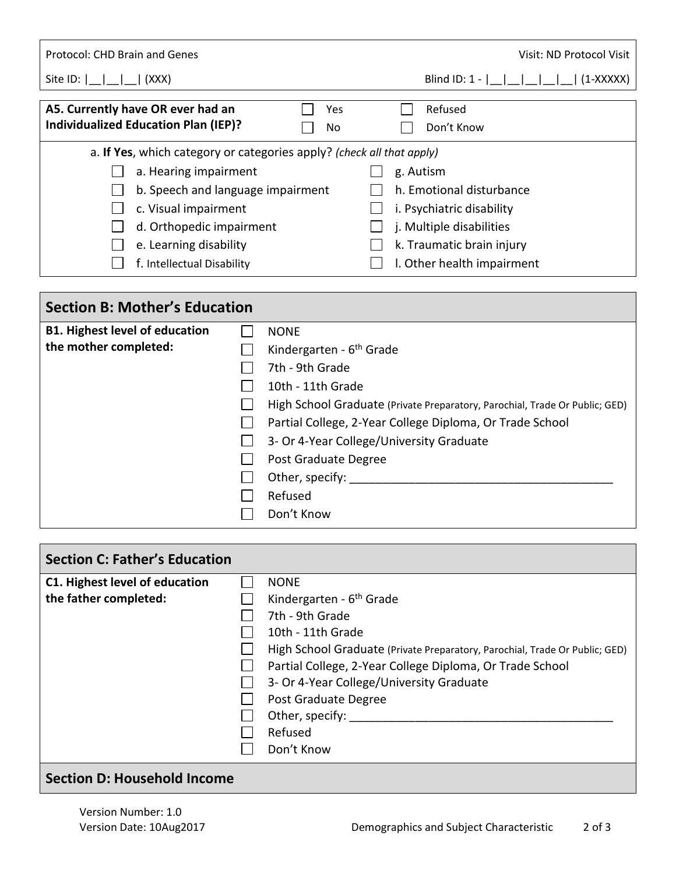| Site ID: $\vert$ $\vert$<br> (XXX)                                                                                                                                                                                                              | Blind ID: $1 -$        <br>$(1-XXXXX)$                                                                                                                    |
|-------------------------------------------------------------------------------------------------------------------------------------------------------------------------------------------------------------------------------------------------|-----------------------------------------------------------------------------------------------------------------------------------------------------------|
| A5. Currently have OR ever had an<br>Yes<br><b>Individualized Education Plan (IEP)?</b><br>No.                                                                                                                                                  | Refused<br>Don't Know                                                                                                                                     |
| a. If Yes, which category or categories apply? (check all that apply)<br>a. Hearing impairment<br>b. Speech and language impairment<br>c. Visual impairment<br>d. Orthopedic impairment<br>e. Learning disability<br>f. Intellectual Disability | g. Autism<br>h. Emotional disturbance<br>i. Psychiatric disability<br>j. Multiple disabilities<br>k. Traumatic brain injury<br>I. Other health impairment |

## **Section B: Mother's Education B1. Highest level of education**  NONE  $\Box$ **the mother completed:**  $\Box$ Kindergarten - 6<sup>th</sup> Grade  $\Box$  7th - 9th Grade  $\Box$  10th - 11th Grade High School Graduate (Private Preparatory, Parochial, Trade Or Public; GED) □ Partial College, 2-Year College Diploma, Or Trade School □ 3- Or 4-Year College/University Graduate **Post Graduate Degree**  $\Box$  Other, specify:  $\Box$ Refused Don't Know

| <b>Section C: Father's Education</b> |  |                                                                             |
|--------------------------------------|--|-----------------------------------------------------------------------------|
| C1. Highest level of education       |  | <b>NONE</b>                                                                 |
| the father completed:                |  | Kindergarten - 6 <sup>th</sup> Grade                                        |
|                                      |  | 7th - 9th Grade                                                             |
|                                      |  | 10th - 11th Grade                                                           |
|                                      |  | High School Graduate (Private Preparatory, Parochial, Trade Or Public; GED) |
|                                      |  | Partial College, 2-Year College Diploma, Or Trade School                    |
|                                      |  | 3- Or 4-Year College/University Graduate                                    |
|                                      |  | Post Graduate Degree                                                        |
|                                      |  | Other, specify:                                                             |
|                                      |  | Refused                                                                     |
|                                      |  | Don't Know                                                                  |
|                                      |  |                                                                             |

## **Section D: Household Income**